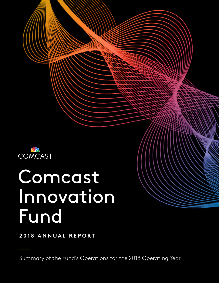

# Comcast Innovation Fund

**2018 ANNUAL REPORT**

Summary of the Fund's Operations for the 2018 Operating Year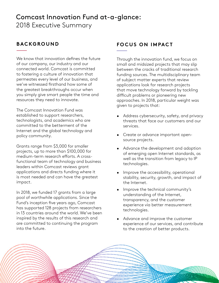# Comcast Innovation Fund at-a-glance: 2018 Executive Summary

## **BACKGROUND**

We know that innovation defines the future of our company, our industry and our connected world. Comcast is committed to fostering a culture of innovation that permeates every level of our business, and we've witnessed firsthand how some of the greatest breakthroughs occur when you simply give smart people the time and resources they need to innovate.

The Comcast Innovation Fund was established to support researchers, technologists, and academics who are committed to the betterment of the Internet and the global technology and policy community.

Grants range from \$3,000 for smaller projects, up to more than \$100,000 for medium-term research efforts. A crossfunctional team of technology and business leaders within Comcast reviews grant applications and directs funding where it is most needed and can have the greatest impact.

In 2018, we funded 17 grants from a large pool of worthwhile applications. Since the Fund's inception five years ago, Comcast has supported 128 projects from researchers in 13 countries around the world. We've been inspired by the results of this research and are committed to continuing the program into the future.

## **FOCUS ON IMPACT**

Through the innovation fund, we focus on small and midsized projects that may slip between the cracks of traditional research funding sources. The multidisciplinary team of subject matter experts that review applications look for research projects that move technology forward by tackling difficult problems or pioneering new approaches. In 2018, particular weight was given to projects that:

- Address cybersecurity, safety, and privacy threats that face our customers and our services.
- Create or advance important opensource projects.
- Advance the development and adoption of emerging open Internet standards, as well as the transition from legacy to IP technologies.
- Improve the accessibility, operational stability, security, growth, and impact of the Internet.
- Improve the technical community's understanding of the Internet, transparency, and the customer experience via better measurement technologies.
- Advance and improve the customer experience of our services, and contribute to the creation of better products.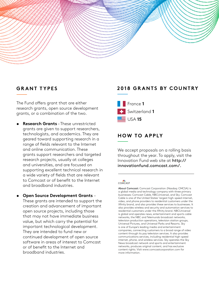

### **GRANT TYPES**

The Fund offers grant that are either research grants, open source development grants, or a combination of the two.

- **• Research Grants** These unrestricted grants are given to support researchers, technologists, and academics. They are geared toward supporting research in a range of fields relevant to the Internet and online communication. These grants support researchers and targeted research projects, usually at colleges and universities, and are focused on supporting excellent technical research in a wide variety of fields that are relevant to Comcast or of benefit to the Internet and broadband industries.
- **• Open Source Development Grants**  These grants are intended to support the creation and advancement of important open source projects, including those that may not have immediate business value, but which carry the potential for important technological development. They are intended to fund new or continued development of open source software in areas of interest to Comcast or of benefit to the Internet and broadband industries.

## **2018 GRANTS BY COUNTRY**



## **HOW TO APPLY**

We accept proposals on a rolling basis throughout the year. To apply, visit the Innovation Fund web site at [http://](http://innovationfund.comcast.com/.) [innovationfund.comcast.com/.](http://innovationfund.comcast.com/.)

#### **OMCAST**

About Comcast: Comcast Corporation (Nasdaq: CMCSA) is a global media and technology company with three primary businesses: Comcast Cable, NBCUniversal, and Sky. Comcast Cable is one of the United States' largest high-speed internet, video, and phone providers to residential customers under the Xfinity brand, and also provides these services to businesses. It also provides wireless and security and automation services to residential customers under the Xfinity brand. NBCUniversal is global and operates news, entertainment and sports cable networks, the NBC and Telemundo broadcast networks, television production operations, television station groups, Universal Pictures, and Universal Parks and Resorts. Sky is one of Europe's leading media and entertainment companies, connecting customers to a broad range of video content through its pay television services. It also provides communications services, including residential high-speed internet, phone, and wireless services. Sky operates the Sky News broadcast network and sports and entertainment networks, produces original content, and has exclusive content rights. Visit www.comcastcorporation.com for more information.